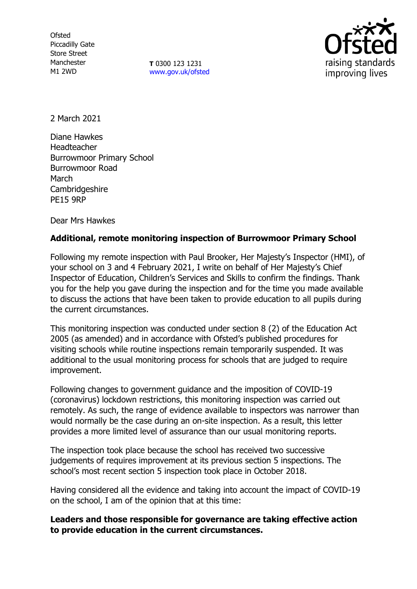**Ofsted** Piccadilly Gate Store Street Manchester M1 2WD

**T** 0300 123 1231 [www.gov.uk/ofsted](http://www.gov.uk/ofsted)



2 March 2021

Diane Hawkes Headteacher Burrowmoor Primary School Burrowmoor Road March Cambridgeshire PE15 9RP

Dear Mrs Hawkes

## **Additional, remote monitoring inspection of Burrowmoor Primary School**

Following my remote inspection with Paul Brooker, Her Majesty's Inspector (HMI), of your school on 3 and 4 February 2021, I write on behalf of Her Majesty's Chief Inspector of Education, Children's Services and Skills to confirm the findings. Thank you for the help you gave during the inspection and for the time you made available to discuss the actions that have been taken to provide education to all pupils during the current circumstances.

This monitoring inspection was conducted under section 8 (2) of the Education Act 2005 (as amended) and in accordance with Ofsted's published procedures for visiting schools while routine inspections remain temporarily suspended. It was additional to the usual monitoring process for schools that are judged to require improvement.

Following changes to government guidance and the imposition of COVID-19 (coronavirus) lockdown restrictions, this monitoring inspection was carried out remotely. As such, the range of evidence available to inspectors was narrower than would normally be the case during an on-site inspection. As a result, this letter provides a more limited level of assurance than our usual monitoring reports.

The inspection took place because the school has received two successive judgements of requires improvement at its previous section 5 inspections. The school's most recent section 5 inspection took place in October 2018.

Having considered all the evidence and taking into account the impact of COVID-19 on the school, I am of the opinion that at this time:

**Leaders and those responsible for governance are taking effective action to provide education in the current circumstances.**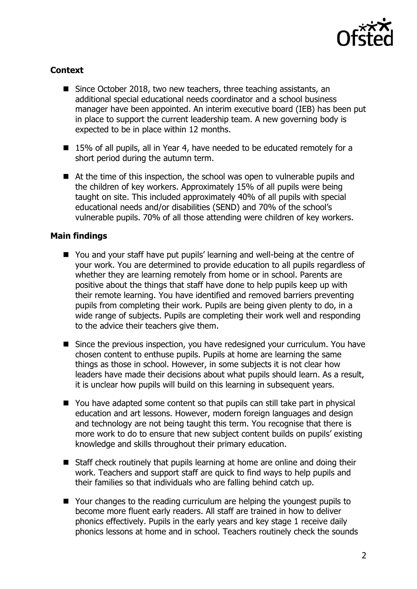

## **Context**

- Since October 2018, two new teachers, three teaching assistants, an additional special educational needs coordinator and a school business manager have been appointed. An interim executive board (IEB) has been put in place to support the current leadership team. A new governing body is expected to be in place within 12 months.
- 15% of all pupils, all in Year 4, have needed to be educated remotely for a short period during the autumn term.
- At the time of this inspection, the school was open to vulnerable pupils and the children of key workers. Approximately 15% of all pupils were being taught on site. This included approximately 40% of all pupils with special educational needs and/or disabilities (SEND) and 70% of the school's vulnerable pupils. 70% of all those attending were children of key workers.

## **Main findings**

- You and your staff have put pupils' learning and well-being at the centre of your work. You are determined to provide education to all pupils regardless of whether they are learning remotely from home or in school. Parents are positive about the things that staff have done to help pupils keep up with their remote learning. You have identified and removed barriers preventing pupils from completing their work. Pupils are being given plenty to do, in a wide range of subjects. Pupils are completing their work well and responding to the advice their teachers give them.
- Since the previous inspection, you have redesigned your curriculum. You have chosen content to enthuse pupils. Pupils at home are learning the same things as those in school. However, in some subjects it is not clear how leaders have made their decisions about what pupils should learn. As a result, it is unclear how pupils will build on this learning in subsequent years.
- You have adapted some content so that pupils can still take part in physical education and art lessons. However, modern foreign languages and design and technology are not being taught this term. You recognise that there is more work to do to ensure that new subject content builds on pupils' existing knowledge and skills throughout their primary education.
- Staff check routinely that pupils learning at home are online and doing their work. Teachers and support staff are quick to find ways to help pupils and their families so that individuals who are falling behind catch up.
- Your changes to the reading curriculum are helping the youngest pupils to become more fluent early readers. All staff are trained in how to deliver phonics effectively. Pupils in the early years and key stage 1 receive daily phonics lessons at home and in school. Teachers routinely check the sounds